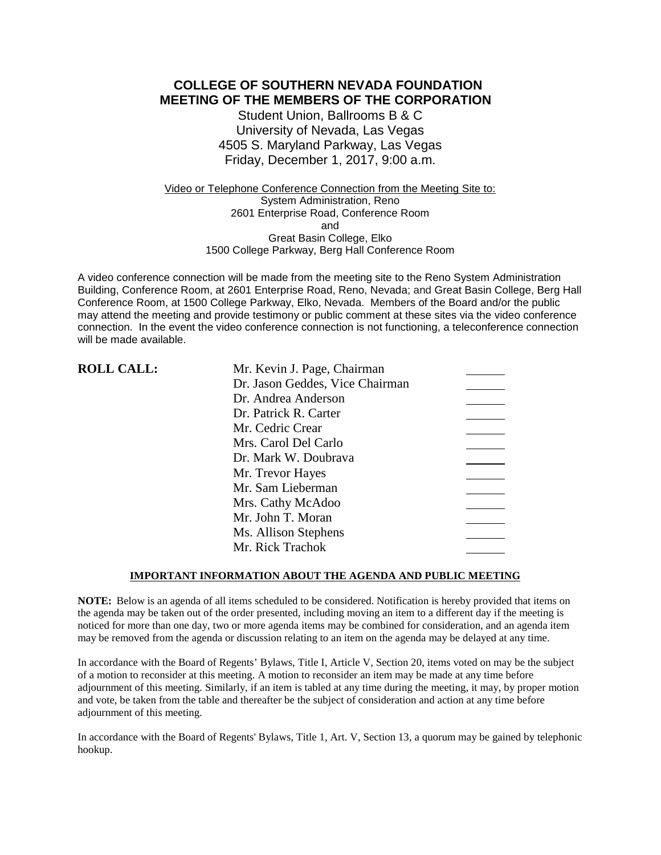# **COLLEGE OF SOUTHERN NEVADA FOUNDATION MEETING OF THE MEMBERS OF THE CORPORATION**

Student Union, Ballrooms B & C University of Nevada, Las Vegas 4505 S. Maryland Parkway, Las Vegas Friday, December 1, 2017, 9:00 a.m.

Video or Telephone Conference Connection from the Meeting Site to: System Administration, Reno 2601 Enterprise Road, Conference Room and Great Basin College, Elko 1500 College Parkway, Berg Hall Conference Room

A video conference connection will be made from the meeting site to the Reno System Administration Building, Conference Room, at 2601 Enterprise Road, Reno, Nevada; and Great Basin College, Berg Hall Conference Room, at 1500 College Parkway, Elko, Nevada. Members of the Board and/or the public may attend the meeting and provide testimony or public comment at these sites via the video conference connection. In the event the video conference connection is not functioning, a teleconference connection will be made available.

| <b>ROLL CALL:</b> | Mr. Kevin J. Page, Chairman     |
|-------------------|---------------------------------|
|                   | Dr. Jason Geddes, Vice Chairman |
|                   | Dr. Andrea Anderson             |
|                   | Dr. Patrick R. Carter           |
|                   | Mr. Cedric Crear                |
|                   | Mrs. Carol Del Carlo            |
|                   | Dr. Mark W. Doubrava            |
|                   | Mr. Trevor Hayes                |
|                   | Mr. Sam Lieberman               |
|                   | Mrs. Cathy McAdoo               |
|                   | Mr. John T. Moran               |
|                   | Ms. Allison Stephens            |
|                   | Mr. Rick Trachok                |

### **IMPORTANT INFORMATION ABOUT THE AGENDA AND PUBLIC MEETING**

**NOTE:** Below is an agenda of all items scheduled to be considered. Notification is hereby provided that items on the agenda may be taken out of the order presented, including moving an item to a different day if the meeting is noticed for more than one day, two or more agenda items may be combined for consideration, and an agenda item may be removed from the agenda or discussion relating to an item on the agenda may be delayed at any time.

In accordance with the Board of Regents' Bylaws, Title I, Article V, Section 20, items voted on may be the subject of a motion to reconsider at this meeting. A motion to reconsider an item may be made at any time before adjournment of this meeting. Similarly, if an item is tabled at any time during the meeting, it may, by proper motion and vote, be taken from the table and thereafter be the subject of consideration and action at any time before adjournment of this meeting.

In accordance with the Board of Regents' Bylaws, Title 1, Art. V, Section 13, a quorum may be gained by telephonic hookup.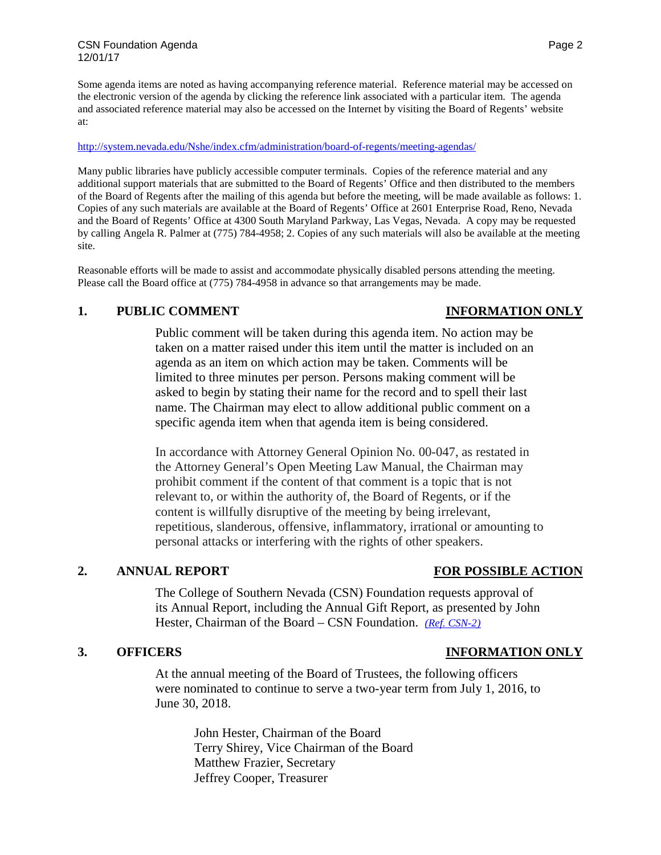Some agenda items are noted as having accompanying reference material. Reference material may be accessed on the electronic version of the agenda by clicking the reference link associated with a particular item. The agenda and associated reference material may also be accessed on the Internet by visiting the Board of Regents' website at:

### <http://system.nevada.edu/Nshe/index.cfm/administration/board-of-regents/meeting-agendas/>

Many public libraries have publicly accessible computer terminals. Copies of the reference material and any additional support materials that are submitted to the Board of Regents' Office and then distributed to the members of the Board of Regents after the mailing of this agenda but before the meeting, will be made available as follows: 1. Copies of any such materials are available at the Board of Regents' Office at 2601 Enterprise Road, Reno, Nevada and the Board of Regents' Office at 4300 South Maryland Parkway, Las Vegas, Nevada. A copy may be requested by calling Angela R. Palmer at (775) 784-4958; 2. Copies of any such materials will also be available at the meeting site.

Reasonable efforts will be made to assist and accommodate physically disabled persons attending the meeting. Please call the Board office at (775) 784-4958 in advance so that arrangements may be made.

## **1. PUBLIC COMMENT INFORMATION ONLY**

Public comment will be taken during this agenda item. No action may be taken on a matter raised under this item until the matter is included on an agenda as an item on which action may be taken. Comments will be limited to three minutes per person. Persons making comment will be asked to begin by stating their name for the record and to spell their last name. The Chairman may elect to allow additional public comment on a specific agenda item when that agenda item is being considered.

In accordance with Attorney General Opinion No. 00-047, as restated in the Attorney General's Open Meeting Law Manual, the Chairman may prohibit comment if the content of that comment is a topic that is not relevant to, or within the authority of, the Board of Regents, or if the content is willfully disruptive of the meeting by being irrelevant, repetitious, slanderous, offensive, inflammatory, irrational or amounting to personal attacks or interfering with the rights of other speakers.

# **2. ANNUAL REPORT FOR POSSIBLE ACTION**

The College of Southern Nevada (CSN) Foundation requests approval of its Annual Report, including the Annual Gift Report, as presented by John Hester, Chairman of the Board – CSN Foundation. *[\(Ref. CSN-2\)](https://nshe.nevada.edu/wp-content/uploads/file/BoardOfRegents/Agendas/2017/nov-mtgs/foundation-refs/csn/CSN-2.pdf)*

### **3. OFFICERS INFORMATION ONLY**

At the annual meeting of the Board of Trustees, the following officers were nominated to continue to serve a two-year term from July 1, 2016, to June 30, 2018.

John Hester, Chairman of the Board Terry Shirey, Vice Chairman of the Board Matthew Frazier, Secretary Jeffrey Cooper, Treasurer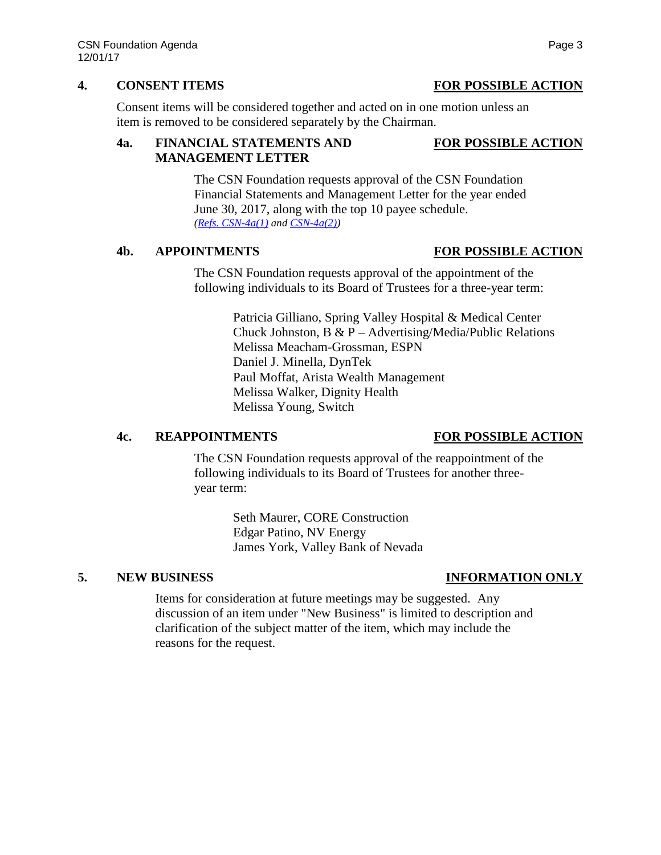Consent items will be considered together and acted on in one motion unless an item is removed to be considered separately by the Chairman.

# **4a. FINANCIAL STATEMENTS AND FOR POSSIBLE ACTION MANAGEMENT LETTER**

The CSN Foundation requests approval of the CSN Foundation Financial Statements and Management Letter for the year ended June 30, 2017, along with the top 10 payee schedule. *[\(Refs. CSN-4a\(1\)](https://nshe.nevada.edu/wp-content/uploads/file/BoardOfRegents/Agendas/2017/nov-mtgs/foundation-refs/csn/CSN-4a(1).pdf) and [CSN-4a\(2\)\)](https://nshe.nevada.edu/wp-content/uploads/file/BoardOfRegents/Agendas/2017/nov-mtgs/foundation-refs/csn/CSN-4a(2).pdf)*

The CSN Foundation requests approval of the appointment of the following individuals to its Board of Trustees for a three-year term:

> Patricia Gilliano, Spring Valley Hospital & Medical Center Chuck Johnston, B & P – Advertising/Media/Public Relations Melissa Meacham-Grossman, ESPN Daniel J. Minella, DynTek Paul Moffat, Arista Wealth Management Melissa Walker, Dignity Health Melissa Young, Switch

# **4c. REAPPOINTMENTS FOR POSSIBLE ACTION**

The CSN Foundation requests approval of the reappointment of the following individuals to its Board of Trustees for another threeyear term:

> Seth Maurer, CORE Construction Edgar Patino, NV Energy James York, Valley Bank of Nevada

# **5. NEW BUSINESS INFORMATION ONLY**

Items for consideration at future meetings may be suggested. Any discussion of an item under "New Business" is limited to description and clarification of the subject matter of the item, which may include the reasons for the request.

# **4. CONSENT ITEMS FOR POSSIBLE ACTION**

**4b. APPOINTMENTS FOR POSSIBLE ACTION**